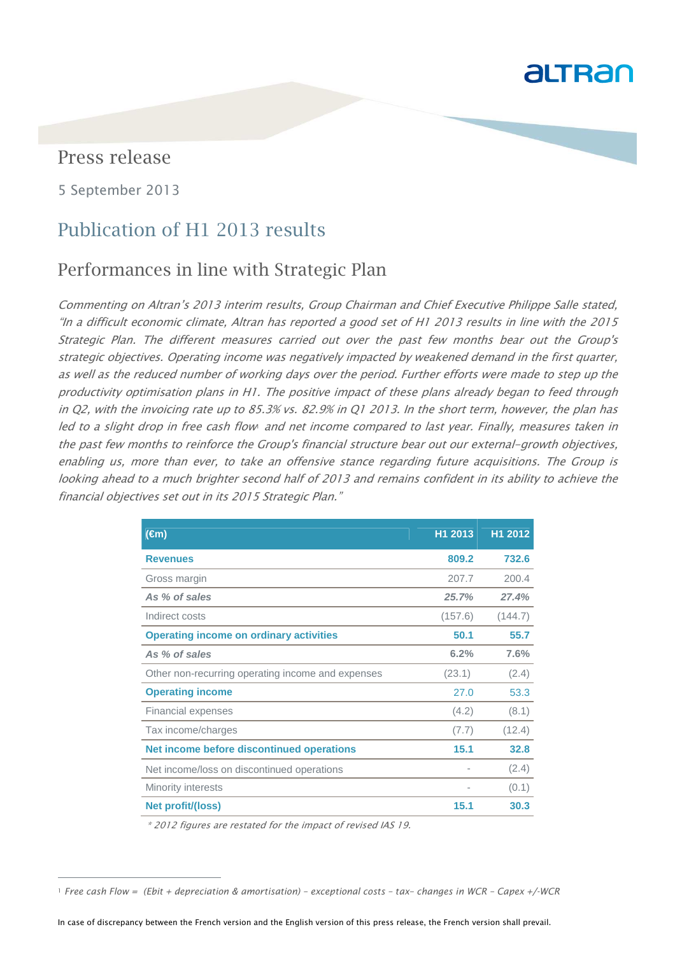# altran

### Press release

5 September 2013

# Publication of H1 2013 results

## Performances in line with Strategic Plan

Commenting on Altran's 2013 interim results, Group Chairman and Chief Executive Philippe Salle stated, "In a difficult economic climate, Altran has reported a good set of H1 2013 results in line with the 2015 Strategic Plan. The different measures carried out over the past few months bear out the Group's strategic objectives. Operating income was negatively impacted by weakened demand in the first quarter, as well as the reduced number of working days over the period. Further efforts were made to step up the productivity optimisation plans in H1. The positive impact of these plans already began to feed through in Q2, with the invoicing rate up to 85.3% vs. 82.9% in Q1 2013. In the short term, however, the plan has led to a slight drop in free cash flow and net income compared to last year. Finally, measures taken in the past few months to reinforce the Group's financial structure bear out our external-growth objectives, enabling us, more than ever, to take an offensive stance regarding future acquisitions. The Group is looking ahead to a much brighter second half of 2013 and remains confident in its ability to achieve the financial objectives set out in its 2015 Strategic Plan."

| $(\epsilon m)$                                    | H1 2013 | H1 2012 |
|---------------------------------------------------|---------|---------|
| <b>Revenues</b>                                   | 809.2   | 732.6   |
| Gross margin                                      | 207.7   | 200.4   |
| As % of sales                                     | 25.7%   | 27.4%   |
| Indirect costs                                    | (157.6) | (144.7) |
| <b>Operating income on ordinary activities</b>    | 50.1    | 55.7    |
| As % of sales                                     | 6.2%    | 7.6%    |
| Other non-recurring operating income and expenses | (23.1)  | (2.4)   |
| <b>Operating income</b>                           | 27.0    | 53.3    |
| Financial expenses                                | (4.2)   | (8.1)   |
| Tax income/charges                                | (7.7)   | (12.4)  |
| Net income before discontinued operations         | 15.1    | 32.8    |
| Net income/loss on discontinued operations        |         | (2.4)   |
| <b>Minority interests</b>                         |         | (0.1)   |
| Net profit/(loss)                                 | 15.1    | 30.3    |

\* 2012 figures are restated for the impact of revised IAS 19.

In case of discrepancy between the French version and the English version of this press release, the French version shall prevail.

<sup>1</sup> *Free cash Flow = (Ebit + depreciation & amortisation) – exceptional costs – tax– changes in WCR – Capex +/-WCR*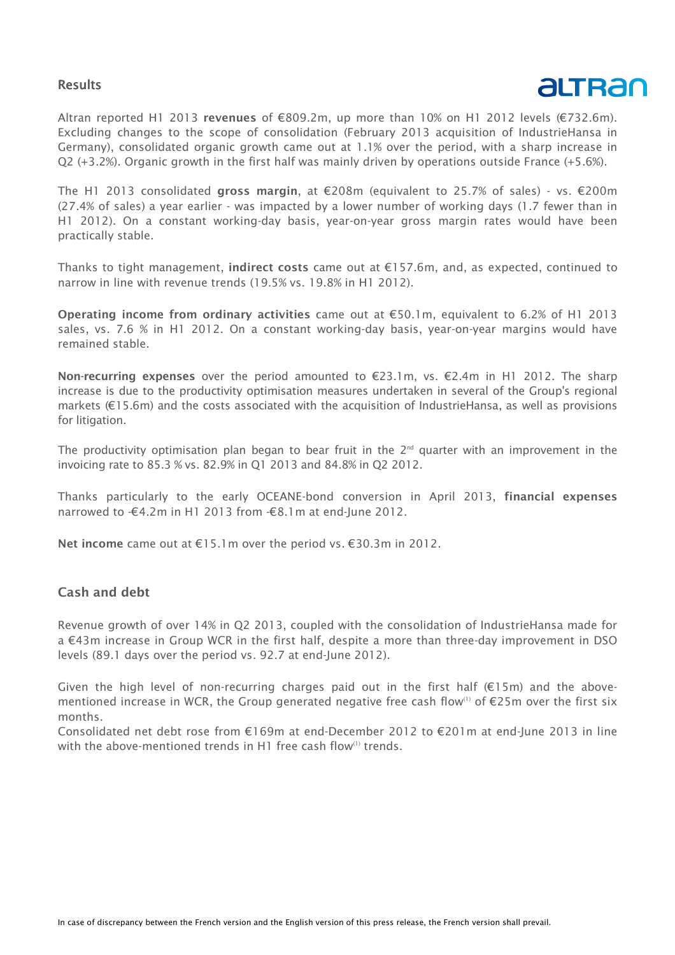### Results



*Altran reported H1 2013* **revenues** *of €809.2m, up more than 10% on H1 2012 levels (€732.6m). Excluding changes to the scope of consolidation (February 2013 acquisition of IndustrieHansa in Germany), consolidated organic growth came out at 1.1% over the period, with a sharp increase in Q2 (+3.2%). Organic growth in the first half was mainly driven by operations outside France (+5.6%).* 

*The H1 2013 consolidated* **gross margin***, at €208m (equivalent to 25.7% of sales) - vs. €200m (27.4% of sales) a year earlier - was impacted by a lower number of working days (1.7 fewer than in H1 2012). On a constant working-day basis, year-on-year gross margin rates would have been practically stable.* 

*Thanks to tight management,* **indirect costs** *came out at €157.6m, and, as expected, continued to narrow in line with revenue trends (19.5% vs. 19.8% in H1 2012).* 

**Operating income from ordinary activities** *came out at €50.1m, equivalent to 6.2% of H1 2013 sales, vs. 7.6 % in H1 2012. On a constant working-day basis, year-on-year margins would have remained stable.* 

**Non-recurring expenses** *over the period amounted to €23.1m, vs. €2.4m in H1 2012. The sharp increase is due to the productivity optimisation measures undertaken in several of the Group's regional markets (€15.6m) and the costs associated with the acquisition of IndustrieHansa, as well as provisions for litigation.* 

*The productivity optimisation plan began to bear fruit in the 2nd quarter with an improvement in the invoicing rate to 85.3 % vs. 82.9% in Q1 2013 and 84.8% in Q2 2012.* 

*Thanks particularly to the early OCEANE-bond conversion in April 2013,* **financial expenses** *narrowed to -€4.2m in H1 2013 from -€8.1m at end-June 2012.* 

**Net income** *came out at €15.1m over the period vs. €30.3m in 2012.* 

### **Cash and debt**

*Revenue growth of over 14% in Q2 2013, coupled with the consolidation of IndustrieHansa made for a €43m increase in Group WCR in the first half, despite a more than three-day improvement in DSO levels (89.1 days over the period vs. 92.7 at end-June 2012).* 

*Given the high level of non-recurring charges paid out in the first half (€15m) and the abovementioned increase in WCR, the Group generated negative free cash flow(1) of €25m over the first six months.* 

*Consolidated net debt rose from €169m at end-December 2012 to €201m at end-June 2013 in line with the above-mentioned trends in H1 free cash flow (1) trends.*